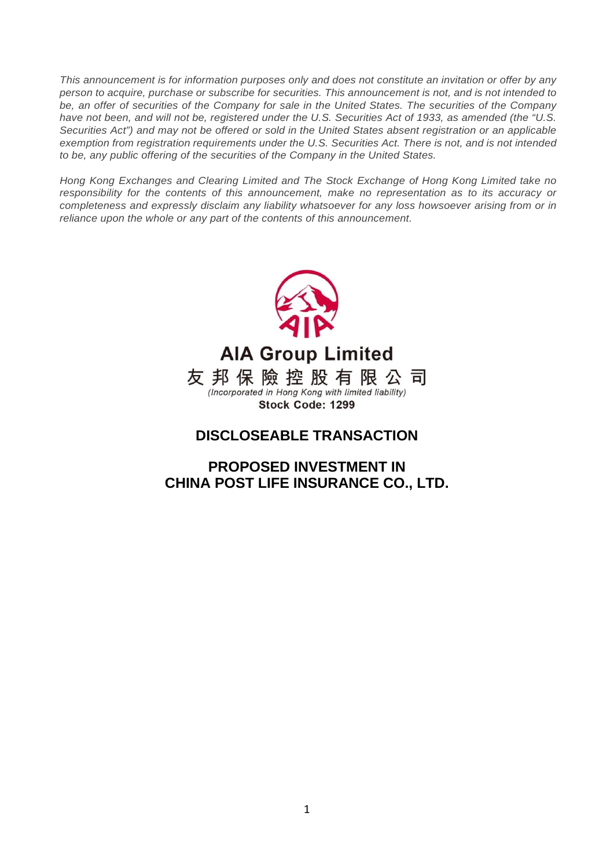*This announcement is for information purposes only and does not constitute an invitation or offer by any person to acquire, purchase or subscribe for securities. This announcement is not, and is not intended to be, an offer of securities of the Company for sale in the United States. The securities of the Company have not been, and will not be, registered under the U.S. Securities Act of 1933, as amended (the "U.S. Securities Act") and may not be offered or sold in the United States absent registration or an applicable exemption from registration requirements under the U.S. Securities Act. There is not, and is not intended to be, any public offering of the securities of the Company in the United States.* 

*Hong Kong Exchanges and Clearing Limited and The Stock Exchange of Hong Kong Limited take no responsibility for the contents of this announcement, make no representation as to its accuracy or completeness and expressly disclaim any liability whatsoever for any loss howsoever arising from or in reliance upon the whole or any part of the contents of this announcement.* 



**AIA Group Limited** 友邦保險控股有限公司 (Incorporated in Hong Kong with limited liability) Stock Code: 1299

# **DISCLOSEABLE TRANSACTION**

**PROPOSED INVESTMENT IN CHINA POST LIFE INSURANCE CO., LTD.**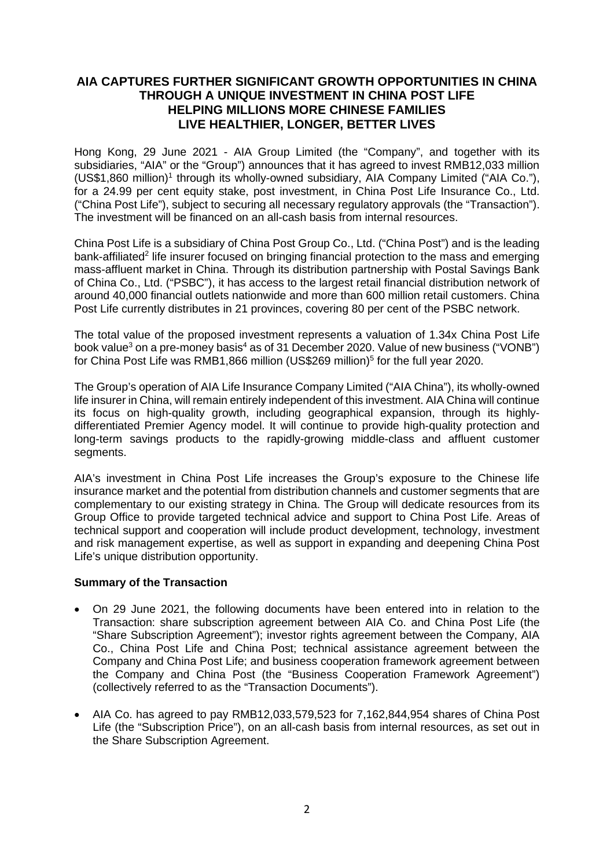## **AIA CAPTURES FURTHER SIGNIFICANT GROWTH OPPORTUNITIES IN CHINA THROUGH A UNIQUE INVESTMENT IN CHINA POST LIFE HELPING MILLIONS MORE CHINESE FAMILIES LIVE HEALTHIER, LONGER, BETTER LIVES**

Hong Kong, 29 June 2021 - AIA Group Limited (the "Company", and together with its subsidiaries, "AIA" or the "Group") announces that it has agreed to invest RMB12,033 million  $(US$1,860$  million)<sup>1</sup> through its wholly-owned subsidiary, AIA Company Limited ("AIA Co."), for a 24.99 per cent equity stake, post investment, in China Post Life Insurance Co., Ltd. ("China Post Life"), subject to securing all necessary regulatory approvals (the "Transaction"). The investment will be financed on an all-cash basis from internal resources.

China Post Life is a subsidiary of China Post Group Co., Ltd. ("China Post") and is the leading bank-affiliated<sup>2</sup> life insurer focused on bringing financial protection to the mass and emerging mass-affluent market in China. Through its distribution partnership with Postal Savings Bank of China Co., Ltd. ("PSBC"), it has access to the largest retail financial distribution network of around 40,000 financial outlets nationwide and more than 600 million retail customers. China Post Life currently distributes in 21 provinces, covering 80 per cent of the PSBC network.

The total value of the proposed investment represents a valuation of 1.34x China Post Life book value<sup>3</sup> on a pre-money basis<sup>4</sup> as of 31 December 2020. Value of new business ("VONB") for China Post Life was RMB1,866 million (US\$269 million)<sup>5</sup> for the full year 2020.

The Group's operation of AIA Life Insurance Company Limited ("AIA China"), its wholly-owned life insurer in China, will remain entirely independent of this investment. AIA China will continue its focus on high-quality growth, including geographical expansion, through its highlydifferentiated Premier Agency model. It will continue to provide high-quality protection and long-term savings products to the rapidly-growing middle-class and affluent customer segments.

AIA's investment in China Post Life increases the Group's exposure to the Chinese life insurance market and the potential from distribution channels and customer segments that are complementary to our existing strategy in China. The Group will dedicate resources from its Group Office to provide targeted technical advice and support to China Post Life. Areas of technical support and cooperation will include product development, technology, investment and risk management expertise, as well as support in expanding and deepening China Post Life's unique distribution opportunity.

## **Summary of the Transaction**

- On 29 June 2021, the following documents have been entered into in relation to the Transaction: share subscription agreement between AIA Co. and China Post Life (the "Share Subscription Agreement"); investor rights agreement between the Company, AIA Co., China Post Life and China Post; technical assistance agreement between the Company and China Post Life; and business cooperation framework agreement between the Company and China Post (the "Business Cooperation Framework Agreement") (collectively referred to as the "Transaction Documents").
- AIA Co. has agreed to pay RMB12,033,579,523 for 7,162,844,954 shares of China Post Life (the "Subscription Price"), on an all-cash basis from internal resources, as set out in the Share Subscription Agreement.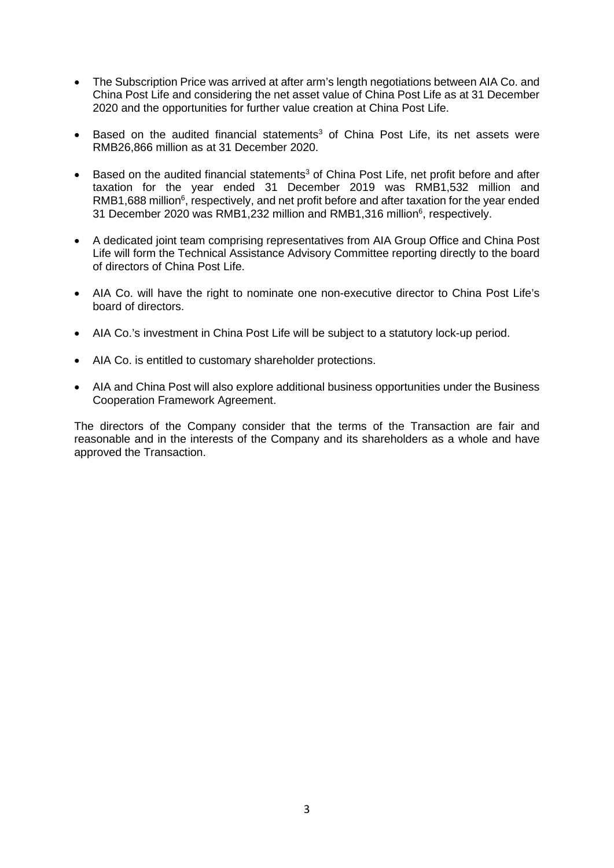- The Subscription Price was arrived at after arm's length negotiations between AIA Co. and China Post Life and considering the net asset value of China Post Life as at 31 December 2020 and the opportunities for further value creation at China Post Life.
- Based on the audited financial statements<sup>3</sup> of China Post Life, its net assets were RMB26,866 million as at 31 December 2020.
- Based on the audited financial statements<sup>3</sup> of China Post Life, net profit before and after taxation for the year ended 31 December 2019 was RMB1,532 million and RMB1,688 million<sup>6</sup>, respectively, and net profit before and after taxation for the year ended 31 December 2020 was RMB1,232 million and RMB1,316 million<sup>6</sup>, respectively.
- A dedicated joint team comprising representatives from AIA Group Office and China Post Life will form the Technical Assistance Advisory Committee reporting directly to the board of directors of China Post Life.
- AIA Co. will have the right to nominate one non-executive director to China Post Life's board of directors.
- AIA Co.'s investment in China Post Life will be subject to a statutory lock-up period.
- AIA Co. is entitled to customary shareholder protections.
- AIA and China Post will also explore additional business opportunities under the Business Cooperation Framework Agreement.

The directors of the Company consider that the terms of the Transaction are fair and reasonable and in the interests of the Company and its shareholders as a whole and have approved the Transaction.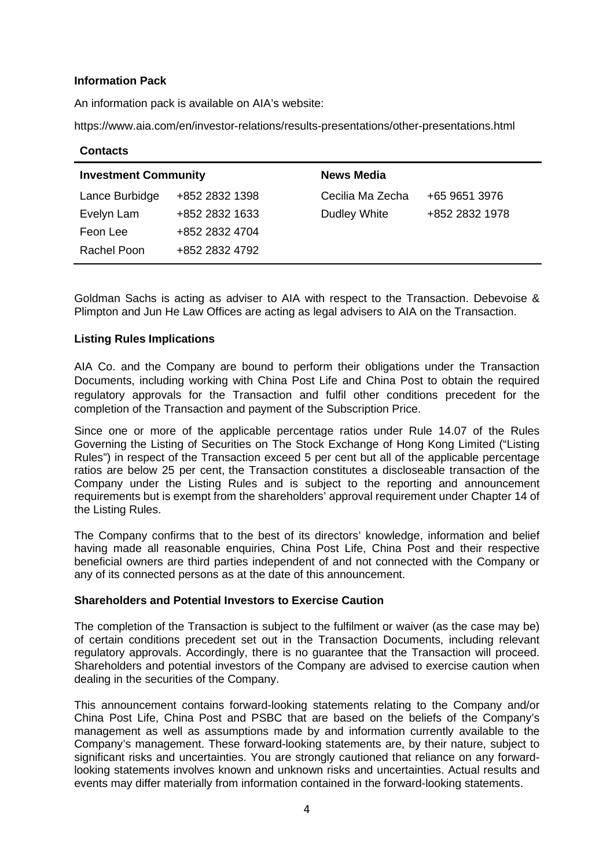## **Information Pack**

An information pack is available on AIA's website:

https://www.aia.com/en/investor-relations/results-presentations/other-presentations.html

| <b>Contacts</b>             |                |                   |                |
|-----------------------------|----------------|-------------------|----------------|
| <b>Investment Community</b> |                | <b>News Media</b> |                |
| Lance Burbidge              | +852 2832 1398 | Cecilia Ma Zecha  | +65 9651 3976  |
| Evelyn Lam                  | +852 2832 1633 | Dudley White      | +852 2832 1978 |
| Feon Lee                    | +852 2832 4704 |                   |                |
| Rachel Poon                 | +852 2832 4792 |                   |                |

Goldman Sachs is acting as adviser to AIA with respect to the Transaction. Debevoise & Plimpton and Jun He Law Offices are acting as legal advisers to AIA on the Transaction.

## **Listing Rules Implications**

AIA Co. and the Company are bound to perform their obligations under the Transaction Documents, including working with China Post Life and China Post to obtain the required regulatory approvals for the Transaction and fulfil other conditions precedent for the completion of the Transaction and payment of the Subscription Price.

Since one or more of the applicable percentage ratios under Rule 14.07 of the Rules Governing the Listing of Securities on The Stock Exchange of Hong Kong Limited ("Listing Rules") in respect of the Transaction exceed 5 per cent but all of the applicable percentage ratios are below 25 per cent, the Transaction constitutes a discloseable transaction of the Company under the Listing Rules and is subject to the reporting and announcement requirements but is exempt from the shareholders' approval requirement under Chapter 14 of the Listing Rules.

The Company confirms that to the best of its directors' knowledge, information and belief having made all reasonable enquiries, China Post Life, China Post and their respective beneficial owners are third parties independent of and not connected with the Company or any of its connected persons as at the date of this announcement.

#### **Shareholders and Potential Investors to Exercise Caution**

The completion of the Transaction is subject to the fulfilment or waiver (as the case may be) of certain conditions precedent set out in the Transaction Documents, including relevant regulatory approvals. Accordingly, there is no guarantee that the Transaction will proceed. Shareholders and potential investors of the Company are advised to exercise caution when dealing in the securities of the Company.

This announcement contains forward-looking statements relating to the Company and/or China Post Life, China Post and PSBC that are based on the beliefs of the Company's management as well as assumptions made by and information currently available to the Company's management. These forward-looking statements are, by their nature, subject to significant risks and uncertainties. You are strongly cautioned that reliance on any forwardlooking statements involves known and unknown risks and uncertainties. Actual results and events may differ materially from information contained in the forward-looking statements.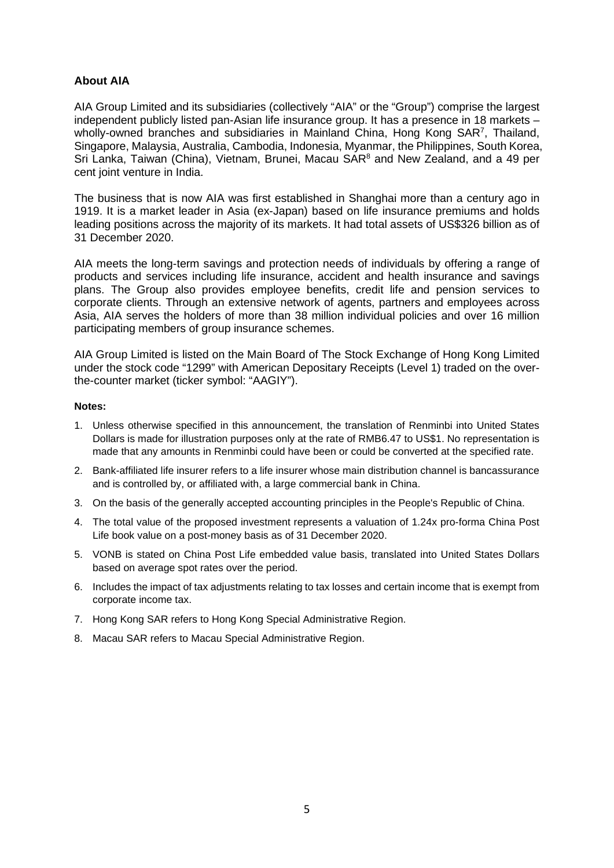## **About AIA**

AIA Group Limited and its subsidiaries (collectively "AIA" or the "Group") comprise the largest independent publicly listed pan-Asian life insurance group. It has a presence in 18 markets – wholly-owned branches and subsidiaries in Mainland China, Hong Kong SAR<sup>7</sup>, Thailand, Singapore, Malaysia, Australia, Cambodia, Indonesia, Myanmar, the Philippines, South Korea, Sri Lanka, Taiwan (China), Vietnam, Brunei, Macau SAR $^8$  and New Zealand, and a 49 per cent joint venture in India.

The business that is now AIA was first established in Shanghai more than a century ago in 1919. It is a market leader in Asia (ex-Japan) based on life insurance premiums and holds leading positions across the majority of its markets. It had total assets of US\$326 billion as of 31 December 2020.

AIA meets the long-term savings and protection needs of individuals by offering a range of products and services including life insurance, accident and health insurance and savings plans. The Group also provides employee benefits, credit life and pension services to corporate clients. Through an extensive network of agents, partners and employees across Asia, AIA serves the holders of more than 38 million individual policies and over 16 million participating members of group insurance schemes.

AIA Group Limited is listed on the Main Board of The Stock Exchange of Hong Kong Limited under the stock code "1299" with American Depositary Receipts (Level 1) traded on the overthe-counter market (ticker symbol: "AAGIY").

#### **Notes:**

- 1. Unless otherwise specified in this announcement, the translation of Renminbi into United States Dollars is made for illustration purposes only at the rate of RMB6.47 to US\$1. No representation is made that any amounts in Renminbi could have been or could be converted at the specified rate.
- 2. Bank-affiliated life insurer refers to a life insurer whose main distribution channel is bancassurance and is controlled by, or affiliated with, a large commercial bank in China.
- 3. On the basis of the generally accepted accounting principles in the People's Republic of China.
- 4. The total value of the proposed investment represents a valuation of 1.24x pro-forma China Post Life book value on a post-money basis as of 31 December 2020.
- 5. VONB is stated on China Post Life embedded value basis, translated into United States Dollars based on average spot rates over the period.
- 6. Includes the impact of tax adjustments relating to tax losses and certain income that is exempt from corporate income tax.
- 7. Hong Kong SAR refers to Hong Kong Special Administrative Region.
- 8. Macau SAR refers to Macau Special Administrative Region.